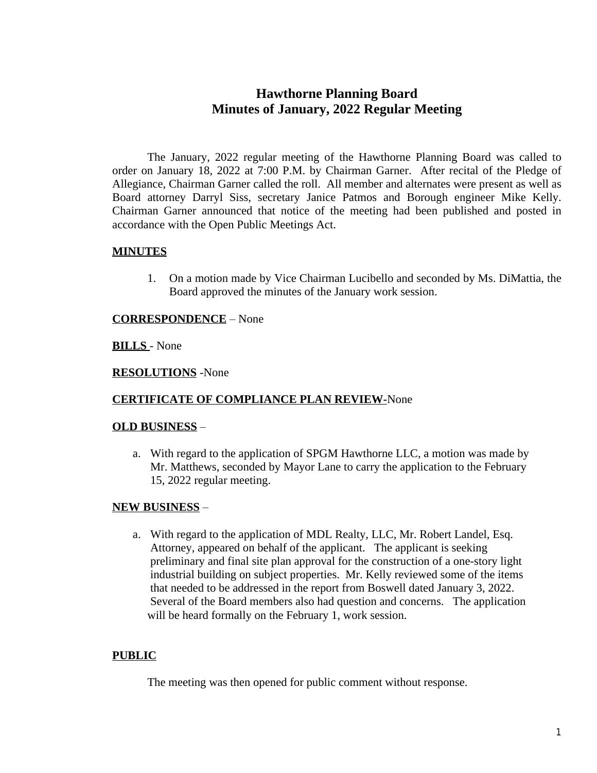# **Hawthorne Planning Board Minutes of January, 2022 Regular Meeting**

The January, 2022 regular meeting of the Hawthorne Planning Board was called to order on January 18, 2022 at 7:00 P.M. by Chairman Garner. After recital of the Pledge of Allegiance, Chairman Garner called the roll. All member and alternates were present as well as Board attorney Darryl Siss, secretary Janice Patmos and Borough engineer Mike Kelly. Chairman Garner announced that notice of the meeting had been published and posted in accordance with the Open Public Meetings Act.

# **MINUTES**

1. On a motion made by Vice Chairman Lucibello and seconded by Ms. DiMattia, the Board approved the minutes of the January work session.

## **CORRESPONDENCE** – None

## **BILLS** - None

#### **RESOLUTIONS** -None

# **CERTIFICATE OF COMPLIANCE PLAN REVIEW-**None

#### **OLD BUSINESS** –

a. With regard to the application of SPGM Hawthorne LLC, a motion was made by Mr. Matthews, seconded by Mayor Lane to carry the application to the February 15, 2022 regular meeting.

# **NEW BUSINESS** –

a. With regard to the application of MDL Realty, LLC, Mr. Robert Landel, Esq. Attorney, appeared on behalf of the applicant. The applicant is seeking preliminary and final site plan approval for the construction of a one-story light industrial building on subject properties. Mr. Kelly reviewed some of the items that needed to be addressed in the report from Boswell dated January 3, 2022. Several of the Board members also had question and concerns. The application will be heard formally on the February 1, work session.

# **PUBLIC**

The meeting was then opened for public comment without response.